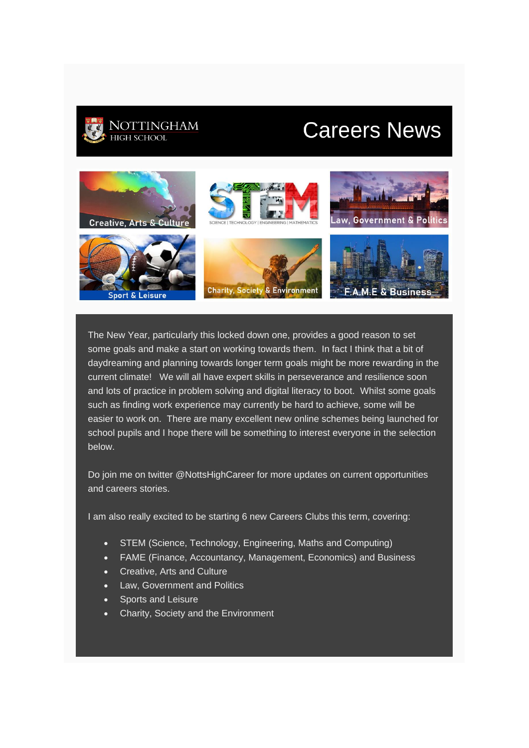

# **Careers News**



The New Year, particularly this locked down one, provides a good reason to set some goals and make a start on working towards them. In fact I think that a bit of daydreaming and planning towards longer term goals might be more rewarding in the current climate! We will all have expert skills in perseverance and resilience soon and lots of practice in problem solving and digital literacy to boot. Whilst some goals such as finding work experience may currently be hard to achieve, some will be easier to work on. There are many excellent new online schemes being launched for school pupils and I hope there will be something to interest everyone in the selection below.

Do join me on twitter @NottsHighCareer for more updates on current opportunities and careers stories.

I am also really excited to be starting 6 new Careers Clubs this term, covering:

- STEM (Science, Technology, Engineering, Maths and Computing)
- FAME (Finance, Accountancy, Management, Economics) and Business
- Creative, Arts and Culture
- Law, Government and Politics
- Sports and Leisure
- Charity, Society and the Environment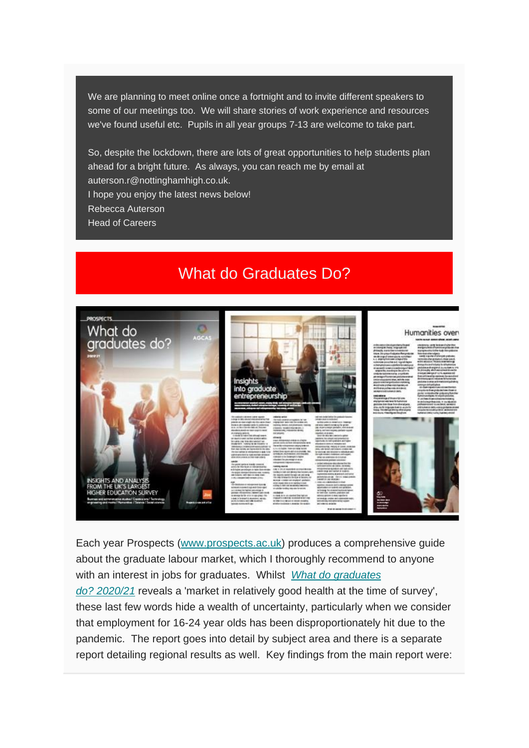We are planning to meet online once a fortnight and to invite different speakers to some of our meetings too. We will share stories of work experience and resources we've found useful etc. Pupils in all year groups 7-13 are welcome to take part.

So, despite the lockdown, there are lots of great opportunities to help students plan ahead for a bright future. As always, you can reach me by email at auterson.r@nottinghamhigh.co.uk. I hope you enjoy the latest news below! Rebecca Auterson Head of Careers

## What do Graduates Do?



Each year Prospects [\(www.prospects.ac.uk\)](http://www.prospects.ac.uk/) produces a comprehensive guide about the graduate labour market, which I thoroughly recommend to anyone with an interest in jobs for graduates. Whilst *[What do graduates](https://luminate.prospects.ac.uk/what-do-graduates-do)* 

*do? [2020/21](https://luminate.prospects.ac.uk/what-do-graduates-do)* reveals a 'market in relatively good health at the time of survey', these last few words hide a wealth of uncertainty, particularly when we consider that employment for 16-24 year olds has been disproportionately hit due to the pandemic. The report goes into detail by subject area and there is a separate report detailing regional results as well. Key findings from the main report were: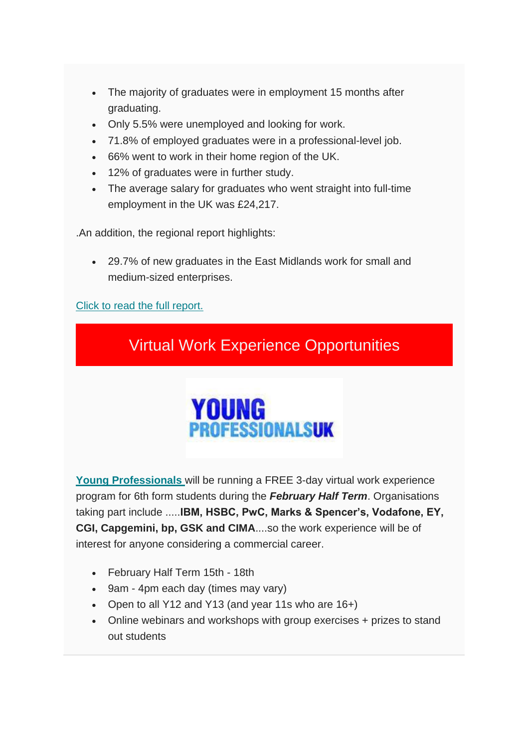- The majority of graduates were in employment 15 months after graduating.
- Only 5.5% were unemployed and looking for work.
- 71.8% of employed graduates were in a professional-level job.
- 66% went to work in their home region of the UK.
- 12% of graduates were in further study.
- The average salary for graduates who went straight into full-time employment in the UK was £24,217.

.An addition, the regional report highlights:

• 29.7% of new graduates in the East Midlands work for small and medium-sized enterprises.

[Click to read the full report.](https://luminate.prospects.ac.uk/what-do-graduates-do)





**[Young Professionals](https://young-professionals.uk/)** will be running a FREE 3-day virtual work experience program for 6th form students during the *February Half Term*. Organisations taking part include .....**IBM, HSBC, PwC, Marks & Spencer's, Vodafone, EY, CGI, Capgemini, bp, GSK and CIMA**....so the work experience will be of interest for anyone considering a commercial career.

- February Half Term 15th 18th
- 9am 4pm each day (times may vary)
- Open to all Y12 and Y13 (and year 11s who are 16+)
- Online webinars and workshops with group exercises + prizes to stand out students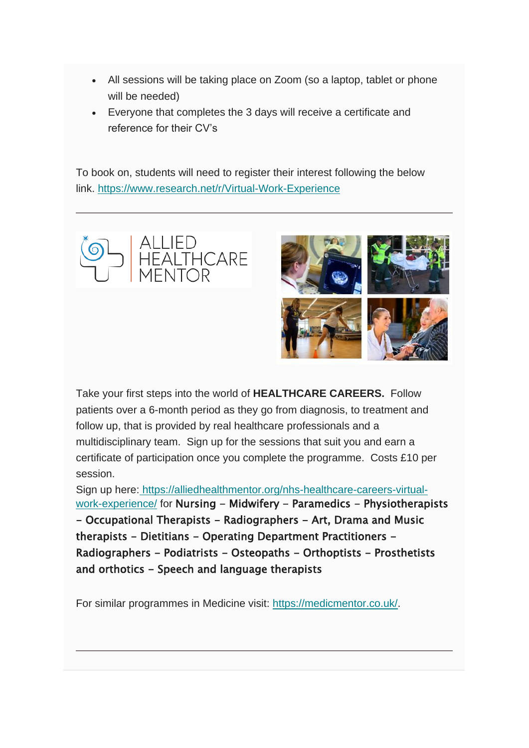- All sessions will be taking place on Zoom (so a laptop, tablet or phone will be needed)
- Everyone that completes the 3 days will receive a certificate and reference for their CV's

To book on, students will need to register their interest following the below link. <https://www.research.net/r/Virtual-Work-Experience>





Take your first steps into the world of **HEALTHCARE CAREERS.** Follow patients over a 6-month period as they go from diagnosis, to treatment and follow up, that is provided by real healthcare professionals and a multidisciplinary team. Sign up for the sessions that suit you and earn a certificate of participation once you complete the programme. Costs £10 per session.

Sign up here: [https://alliedhealthmentor.org/nhs-healthcare-careers-virtual](https://alliedhealthmentor.org/nhs-healthcare-careers-virtual-work-experience/)[work-experience/](https://alliedhealthmentor.org/nhs-healthcare-careers-virtual-work-experience/) for Nursing - Midwifery - Paramedics - Physiotherapists - Occupational Therapists - Radiographers - Art, Drama and Music therapists - Dietitians - Operating Department Practitioners -Radiographers - Podiatrists - Osteopaths - Orthoptists - Prosthetists and orthotics - Speech and language therapists

For similar programmes in Medicine visit: [https://medicmentor.co.uk/.](https://medicmentor.co.uk/)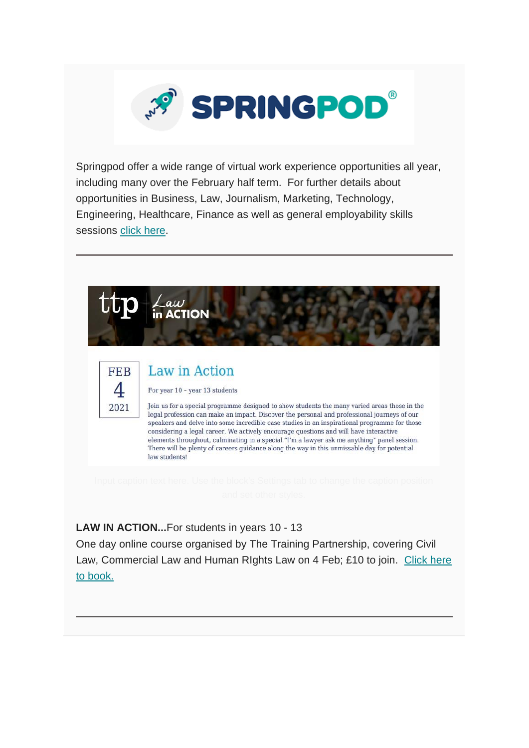

Springpod offer a wide range of virtual work experience opportunities all year, including many over the February half term. For further details about opportunities in Business, Law, Journalism, Marketing, Technology, Engineering, Healthcare, Finance as well as general employability skills sessions [click here.](https://www.springpod.co.uk/virtual-work-experience-programmes/?utm_source=campus&utm_medium=email&utm_campaign=2021vwexnationwideprom_12_01_21)



**LAW IN ACTION...**For students in years 10 - 13

One day online course organised by The Training Partnership, covering Civil Law, Commercial Law and Human RIghts Law on 4 Feb; £10 to join. [Click here](https://thetrainingpartnership.org.uk/study-day/law-in-action-4-02-2021/)  [to book.](https://thetrainingpartnership.org.uk/study-day/law-in-action-4-02-2021/)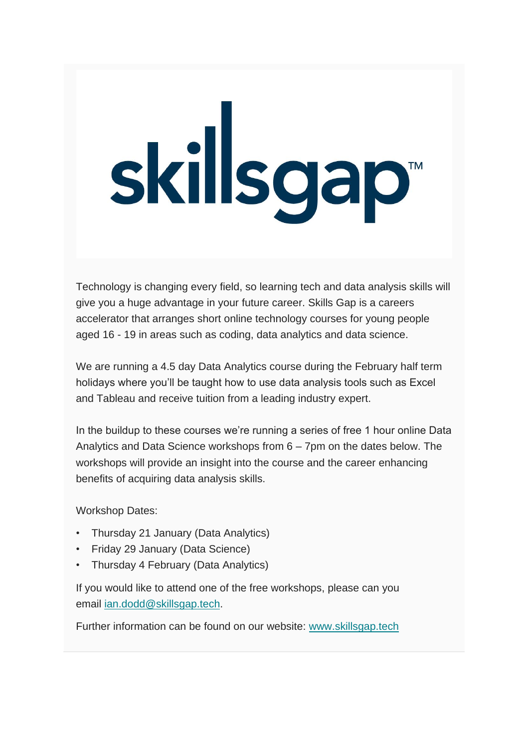# skillsgap<sup>®</sup>

Technology is changing every field, so learning tech and data analysis skills will give you a huge advantage in your future career. Skills Gap is a careers accelerator that arranges short online technology courses for young people aged 16 - 19 in areas such as coding, data analytics and data science.

We are running a 4.5 day Data Analytics course during the February half term holidays where you'll be taught how to use data analysis tools such as Excel and Tableau and receive tuition from a leading industry expert.

In the buildup to these courses we're running a series of free 1 hour online Data Analytics and Data Science workshops from 6 – 7pm on the dates below. The workshops will provide an insight into the course and the career enhancing benefits of acquiring data analysis skills.

Workshop Dates:

- Thursday 21 January (Data Analytics)
- Friday 29 January (Data Science)
- Thursday 4 February (Data Analytics)

If you would like to attend one of the free workshops, please can you email [ian.dodd@skillsgap.tech.](mailto:ian.dodd@skillsgap.tech)

Further information can be found on our website: [www.skillsgap.tech](https://sportlivedlimited.cmail20.com/t/r-l-jukyqtd-odkutdivy-y/)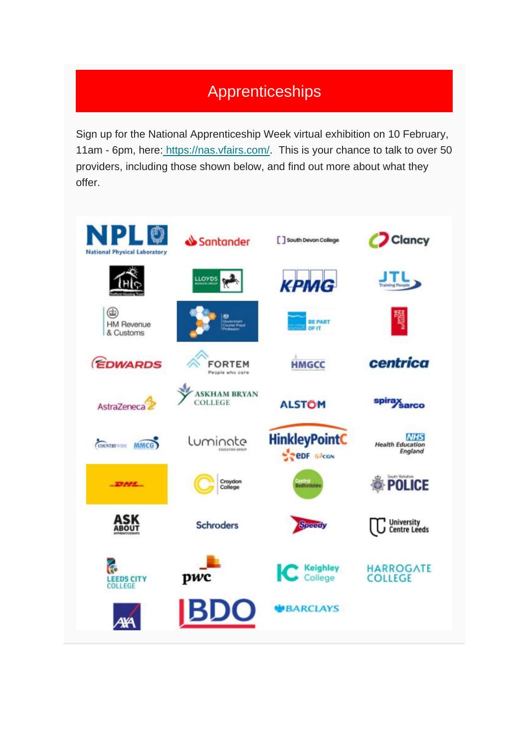# Apprenticeships

Sign up for the National Apprenticeship Week virtual exhibition on 10 February, 11am - 6pm, here: [https://nas.vfairs.com/.](https://nas.vfairs.com/) This is your chance to talk to over 50 providers, including those shown below, and find out more about what they offer.

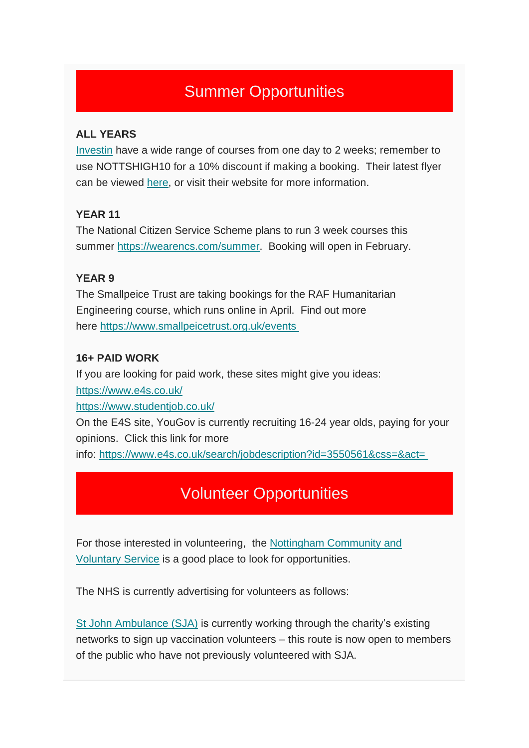# Summer Opportunities

### **ALL YEARS**

[Investin](https://investin.org/) have a wide range of courses from one day to 2 weeks; remember to use NOTTSHIGH10 for a 10% discount if making a booking. Their latest flyer can be viewed [here,](https://docsend.com/view/zf2rf4sbfq9n5r24?mc_cid=fe179ad74f&mc_eid=9c959ea554) or visit their website for more information.

### **YEAR 11**

The National Citizen Service Scheme plans to run 3 week courses this summer [https://wearencs.com/summer.](https://wearencs.com/summer) Booking will open in February.

### **YEAR 9**

The Smallpeice Trust are taking bookings for the RAF Humanitarian Engineering course, which runs online in April. Find out more here <https://www.smallpeicetrust.org.uk/events>

### **16+ PAID WORK**

If you are looking for paid work, these sites might give you ideas: <https://www.e4s.co.uk/> <https://www.studentjob.co.uk/> On the E4S site, YouGov is currently recruiting 16-24 year olds, paying for your opinions. Click this link for more

info: <https://www.e4s.co.uk/search/jobdescription?id=3550561&css=&act=>

# Volunteer Opportunities

For those interested in volunteering, the [Nottingham Community and](https://www.nottinghamcvs.co.uk/volunteering)  [Voluntary](https://www.nottinghamcvs.co.uk/volunteering) Service is a good place to look for opportunities.

The NHS is currently advertising for volunteers as follows:

[St John Ambulance \(SJA\)](http://www.sja.org.uk/) is currently working through the charity's existing networks to sign up vaccination volunteers – this route is now open to members of the public who have not previously volunteered with SJA.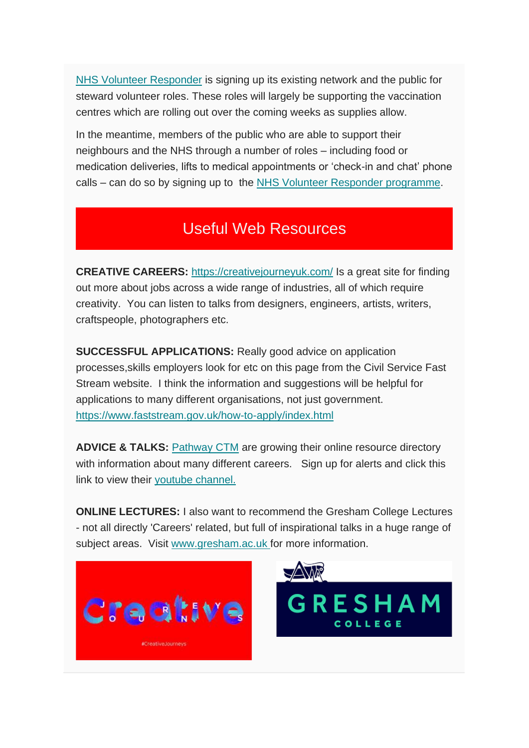[NHS Volunteer Responder](https://nhsvolunteerresponders.org.uk/i-want-to-volunteer) is signing up its existing network and the public for steward volunteer roles. These roles will largely be supporting the vaccination centres which are rolling out over the coming weeks as supplies allow.

In the meantime, members of the public who are able to support their neighbours and the NHS through a number of roles – including food or medication deliveries, lifts to medical appointments or 'check-in and chat' phone calls – can do so by signing up to the [NHS Volunteer Responder programme.](https://nhsvolunteerresponders.org.uk/i-want-to-volunteer)

# Useful Web Resources

**CREATIVE CAREERS:** <https://creativejourneyuk.com/> Is a great site for finding out more about jobs across a wide range of industries, all of which require creativity. You can listen to talks from designers, engineers, artists, writers, craftspeople, photographers etc.

**SUCCESSFUL APPLICATIONS:** Really good advice on application processes,skills employers look for etc on this page from the Civil Service Fast Stream website. I think the information and suggestions will be helpful for applications to many different organisations, not just government. <https://www.faststream.gov.uk/how-to-apply/index.html>

**ADVICE & TALKS:** [Pathway CTM](https://pathwayctm.com/) are growing their online resource directory with information about many different careers. Sign up for alerts and click this link to view their [youtube channel.](https://www.youtube.com/channel/UCoxI7WE4iz33L1aS9L85z0g/featured)

**ONLINE LECTURES:** I also want to recommend the Gresham College Lectures - not all directly 'Careers' related, but full of inspirational talks in a huge range of subject areas. Visit [www.gresham.ac.uk](http://www.gresham.ac.uk/) for more information.